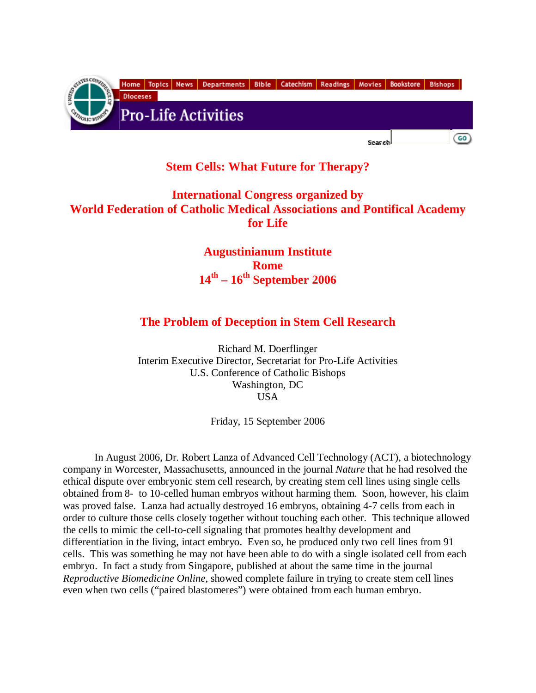

## **Stem Cells: What Future for Therapy?**

## **International Congress organized by World Federation of Catholic Medical Associations and Pontifical Academy for Life**

**Augustinianum Institute Rome 14th – 16th September 2006** 

## **The Problem of Deception in Stem Cell Research**

Richard M. Doerflinger Interim Executive Director, Secretariat for Pro-Life Activities U.S. Conference of Catholic Bishops Washington, DC **USA** 

Friday, 15 September 2006

In August 2006, Dr. Robert Lanza of Advanced Cell Technology (ACT), a biotechnology company in Worcester, Massachusetts, announced in the journal *Nature* that he had resolved the ethical dispute over embryonic stem cell research, by creating stem cell lines using single cells obtained from 8- to 10-celled human embryos without harming them. Soon, however, his claim was proved false. Lanza had actually destroyed 16 embryos, obtaining 4-7 cells from each in order to culture those cells closely together without touching each other. This technique allowed the cells to mimic the cell-to-cell signaling that promotes healthy development and differentiation in the living, intact embryo. Even so, he produced only two cell lines from 91 cells. This was something he may not have been able to do with a single isolated cell from each embryo. In fact a study from Singapore, published at about the same time in the journal *Reproductive Biomedicine Online*, showed complete failure in trying to create stem cell lines even when two cells ("paired blastomeres") were obtained from each human embryo.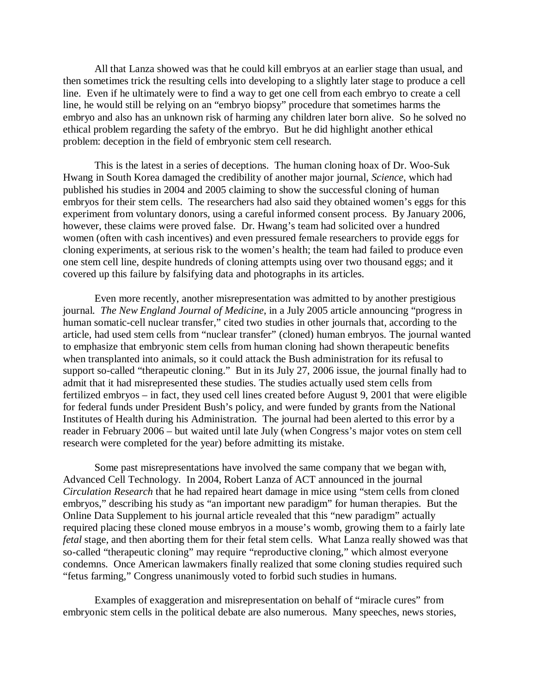All that Lanza showed was that he could kill embryos at an earlier stage than usual, and then sometimes trick the resulting cells into developing to a slightly later stage to produce a cell line. Even if he ultimately were to find a way to get one cell from each embryo to create a cell line, he would still be relying on an "embryo biopsy" procedure that sometimes harms the embryo and also has an unknown risk of harming any children later born alive. So he solved no ethical problem regarding the safety of the embryo. But he did highlight another ethical problem: deception in the field of embryonic stem cell research.

This is the latest in a series of deceptions. The human cloning hoax of Dr. Woo-Suk Hwang in South Korea damaged the credibility of another major journal, *Science*, which had published his studies in 2004 and 2005 claiming to show the successful cloning of human embryos for their stem cells. The researchers had also said they obtained women's eggs for this experiment from voluntary donors, using a careful informed consent process. By January 2006, however, these claims were proved false. Dr. Hwang's team had solicited over a hundred women (often with cash incentives) and even pressured female researchers to provide eggs for cloning experiments, at serious risk to the women's health; the team had failed to produce even one stem cell line, despite hundreds of cloning attempts using over two thousand eggs; and it covered up this failure by falsifying data and photographs in its articles.

Even more recently, another misrepresentation was admitted to by another prestigious journal. *The New England Journal of Medicine*, in a July 2005 article announcing "progress in human somatic-cell nuclear transfer," cited two studies in other journals that, according to the article, had used stem cells from "nuclear transfer" (cloned) human embryos. The journal wanted to emphasize that embryonic stem cells from human cloning had shown therapeutic benefits when transplanted into animals, so it could attack the Bush administration for its refusal to support so-called "therapeutic cloning." But in its July 27, 2006 issue, the journal finally had to admit that it had misrepresented these studies. The studies actually used stem cells from fertilized embryos – in fact, they used cell lines created before August 9, 2001 that were eligible for federal funds under President Bush's policy, and were funded by grants from the National Institutes of Health during his Administration. The journal had been alerted to this error by a reader in February 2006 – but waited until late July (when Congress's major votes on stem cell research were completed for the year) before admitting its mistake.

Some past misrepresentations have involved the same company that we began with, Advanced Cell Technology. In 2004, Robert Lanza of ACT announced in the journal *Circulation Research* that he had repaired heart damage in mice using "stem cells from cloned embryos," describing his study as "an important new paradigm" for human therapies. But the Online Data Supplement to his journal article revealed that this "new paradigm" actually required placing these cloned mouse embryos in a mouse's womb, growing them to a fairly late *fetal* stage, and then aborting them for their fetal stem cells. What Lanza really showed was that so-called "therapeutic cloning" may require "reproductive cloning," which almost everyone condemns. Once American lawmakers finally realized that some cloning studies required such "fetus farming," Congress unanimously voted to forbid such studies in humans.

Examples of exaggeration and misrepresentation on behalf of "miracle cures" from embryonic stem cells in the political debate are also numerous. Many speeches, news stories,